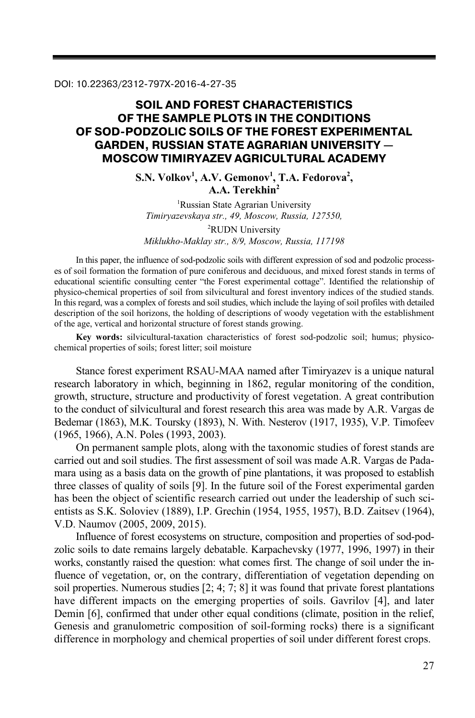# **SOIL AND FOREST CHARACTERISTICS OF THE SAMPLE PLOTS IN THE CONDITIONS OF SOD-PODZOLIC SOILS OF THE FOREST EXPERIMENTAL GARDEN, RUSSIAN STATE AGRARIAN UNIVERSITY — MOSCOW TIMIRYAZEV AGRICULTURAL ACADEMY**

S.N. Volkov<sup>1</sup>, A.V. Gemonov<sup>1</sup>, T.A. Fedorova<sup>2</sup>, **A.A. Terekhin2**

<sup>1</sup>Russian State Agrarian University *Timiryazevskaya str., 49, Moscow, Russia, 127550,*  2 RUDN University *Miklukho-Maklay str., 8/9, Moscow, Russia, 117198* 

In this paper, the influence of sod-podzolic soils with different expression of sod and podzolic processes of soil formation the formation of pure coniferous and deciduous, and mixed forest stands in terms of educational scientific consulting center "the Forest experimental cottage". Identified the relationship of physico-chemical properties of soil from silvicultural and forest inventory indices of the studied stands. In this regard, was a complex of forests and soil studies, which include the laying of soil profiles with detailed description of the soil horizons, the holding of descriptions of woody vegetation with the establishment of the age, vertical and horizontal structure of forest stands growing.

**Key words:** silvicultural-taxation characteristics of forest sod-podzolic soil; humus; physicochemical properties of soils; forest litter; soil moisture

Stance forest experiment RSAU-MAA named after Timiryazev is a unique natural research laboratory in which, beginning in 1862, regular monitoring of the condition, growth, structure, structure and productivity of forest vegetation. A great contribution to the conduct of silvicultural and forest research this area was made by A.R. Vargas de Bedemar (1863), M.K. Toursky (1893), N. With. Nesterov (1917, 1935), V.P. Timofeev (1965, 1966), A.N. Poles (1993, 2003).

On permanent sample plots, along with the taxonomic studies of forest stands are carried out and soil studies. The first assessment of soil was made A.R. Vargas de Padamara using as a basis data on the growth of pine plantations, it was proposed to establish three classes of quality of soils [9]. In the future soil of the Forest experimental garden has been the object of scientific research carried out under the leadership of such scientists as S.K. Soloviev (1889), I.P. Grechin (1954, 1955, 1957), B.D. Zaitsev (1964), V.D. Naumov (2005, 2009, 2015).

Influence of forest ecosystems on structure, composition and properties of sod-podzolic soils to date remains largely debatable. Karpachevsky (1977, 1996, 1997) in their works, constantly raised the question: what comes first. The change of soil under the influence of vegetation, or, on the contrary, differentiation of vegetation depending on soil properties. Numerous studies [2; 4; 7; 8] it was found that private forest plantations have different impacts on the emerging properties of soils. Gavrilov [4], and later Demin [6], confirmed that under other equal conditions (climate, position in the relief, Genesis and granulometric composition of soil-forming rocks) there is a significant difference in morphology and chemical properties of soil under different forest crops.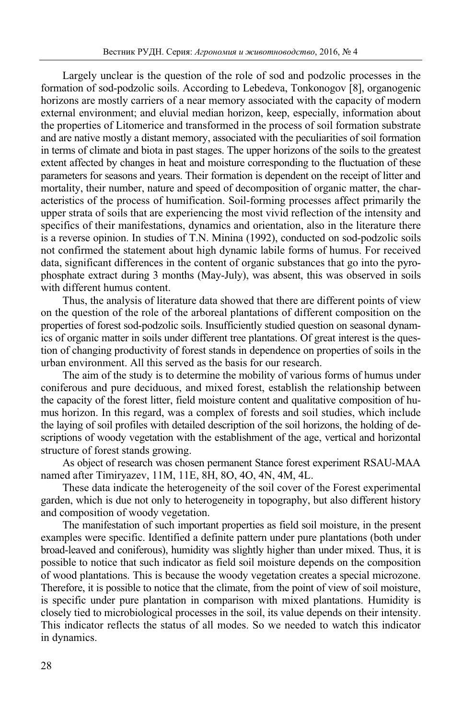Largely unclear is the question of the role of sod and podzolic processes in the formation of sod-podzolic soils. According to Lebedeva, Tonkonogov [8], organogenic horizons are mostly carriers of a near memory associated with the capacity of modern external environment; and eluvial median horizon, keep, especially, information about the properties of Litomerice and transformed in the process of soil formation substrate and are native mostly a distant memory, associated with the peculiarities of soil formation in terms of climate and biota in past stages. The upper horizons of the soils to the greatest extent affected by changes in heat and moisture corresponding to the fluctuation of these parameters for seasons and years. Their formation is dependent on the receipt of litter and mortality, their number, nature and speed of decomposition of organic matter, the characteristics of the process of humification. Soil-forming processes affect primarily the upper strata of soils that are experiencing the most vivid reflection of the intensity and specifics of their manifestations, dynamics and orientation, also in the literature there is a reverse opinion. In studies of T.N. Minina (1992), conducted on sod-podzolic soils not confirmed the statement about high dynamic labile forms of humus. For received data, significant differences in the content of organic substances that go into the pyrophosphate extract during 3 months (May-July), was absent, this was observed in soils with different humus content.

Thus, the analysis of literature data showed that there are different points of view on the question of the role of the arboreal plantations of different composition on the properties of forest sod-podzolic soils. Insufficiently studied question on seasonal dynamics of organic matter in soils under different tree plantations. Of great interest is the question of changing productivity of forest stands in dependence on properties of soils in the urban environment. All this served as the basis for our research.

The aim of the study is to determine the mobility of various forms of humus under coniferous and pure deciduous, and mixed forest, establish the relationship between the capacity of the forest litter, field moisture content and qualitative composition of humus horizon. In this regard, was a complex of forests and soil studies, which include the laying of soil profiles with detailed description of the soil horizons, the holding of descriptions of woody vegetation with the establishment of the age, vertical and horizontal structure of forest stands growing.

As object of research was chosen permanent Stance forest experiment RSAU-MAA named after Timiryazev, 11M, 11E, 8H, 8O, 4O, 4N, 4M, 4L.

These data indicate the heterogeneity of the soil cover of the Forest experimental garden, which is due not only to heterogeneity in topography, but also different history and composition of woody vegetation.

The manifestation of such important properties as field soil moisture, in the present examples were specific. Identified a definite pattern under pure plantations (both under broad-leaved and coniferous), humidity was slightly higher than under mixed. Thus, it is possible to notice that such indicator as field soil moisture depends on the composition of wood plantations. This is because the woody vegetation creates a special microzone. Therefore, it is possible to notice that the climate, from the point of view of soil moisture, is specific under pure plantation in comparison with mixed plantations. Humidity is closely tied to microbiological processes in the soil, its value depends on their intensity. This indicator reflects the status of all modes. So we needed to watch this indicator in dynamics.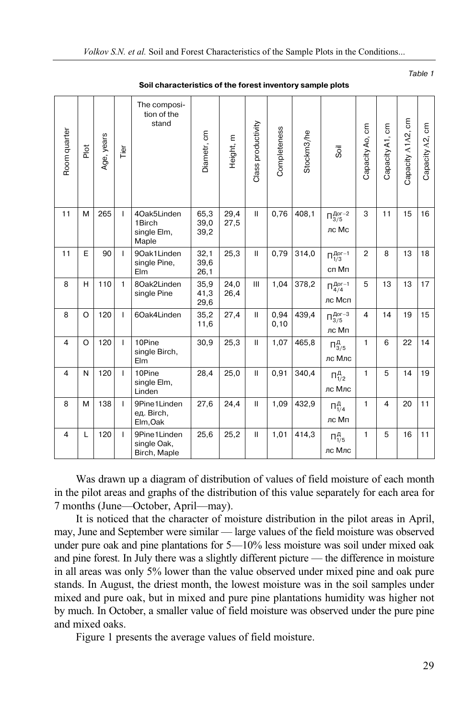| Capacity A2, cm                      | 16                                            | 18                                 | 17                                   | 15 <sup>15</sup>                    | 14                             | 19                              | 11                                     | 11                                          |
|--------------------------------------|-----------------------------------------------|------------------------------------|--------------------------------------|-------------------------------------|--------------------------------|---------------------------------|----------------------------------------|---------------------------------------------|
| Capacity A1A2, cm                    | 15                                            | 13                                 | 13                                   | 19                                  | 22                             | 14                              | 20                                     | 16                                          |
| Capacity A1, cm                      | 11                                            | 8                                  | 13                                   | 14                                  | 6                              | 5                               | 4                                      | 5                                           |
| Capacity Ao, cm                      | 3                                             | 2                                  | 5                                    | 4                                   | $\mathbf{1}$                   | 1                               | 1                                      | 1                                           |
| Soil                                 | $\Pi_{3/5}^{Aor-2}$<br>лс Мс                  | $\Pi_{1/3}^{Aor-1}$<br>сп Мп       | $\Pi_{4/4}^{\text{Aor}-1}$<br>лс Мсп | $\Pi_{3/5}^{\text{Aor}-3}$<br>лс Мп | $\Pi_{3/5}^{A}$<br>лс Млс      | $\Pi^{A}_{1/2}$<br>лс Млс       | $\Pi_{1/4}^{A}$<br>лс Мп               | $\Pi_{1/5}^{A}$<br>лс Млс                   |
| Stockm3/he                           | 408,1                                         | 314,0                              | 378,2                                | 439,4                               | 465,8                          | 340,4                           | 432,9                                  | 414.3                                       |
| Completeness                         | 0,76                                          | 0,79                               | 1,04                                 | 0,94<br>0, 10                       | 1,07                           | 0,91                            | 1,09                                   | 1,01                                        |
| Class productivity                   | $\mathbf{II}$                                 | $\mathbf{II}$                      | III                                  | $\mathbf{H}$                        | $\mathbf{H}$                   | $\mathbf{H}$                    | $\mathbf{II}$                          | $\mathbf{H}$                                |
| Height, m                            | 29,4<br>27,5                                  | 25,3                               | 24,0<br>26,4                         | 27,4                                | 25,3                           | 25,0                            | 24,4                                   | 25,2                                        |
| Diametr, cm                          | 65,3<br>39,0<br>39,2                          | 32,1<br>39,6<br>26,1               | 35,9<br>41,3<br>29,6                 | 35,2<br>11,6                        | 30,9                           | 28,4                            | 27,6                                   | 25,6                                        |
| The composi-<br>tion of the<br>stand | 40ak5Linden<br>1Birch<br>single Elm,<br>Maple | 90ak1Linden<br>single Pine,<br>Elm | 8Oak2Linden<br>single Pine           | 6Oak4Linden                         | 10Pine<br>single Birch,<br>Elm | 10Pine<br>single Elm,<br>Linden | 9Pine1Linden<br>ед. Birch,<br>Elm, Oak | 9Pine1Linden<br>single Oak,<br>Birch, Maple |
| Tier                                 | T                                             | T                                  | 1                                    | T                                   | T                              | T                               | T                                      | T                                           |
| Age, years                           | 265                                           | 90                                 | 110                                  | 120                                 | 120                            | 120                             | 138                                    | 120                                         |
| Piot                                 | М                                             | E                                  | H                                    | $\circ$                             | $\Omega$                       | N                               | м                                      | L                                           |
| Room quarter                         | 11                                            | 11                                 | 8                                    | 8                                   | 4                              | 4                               | 8                                      | 4                                           |

**Soil characteristics of the forest inventory sample plots** 

Table 1

Was drawn up a diagram of distribution of values of field moisture of each month in the pilot areas and graphs of the distribution of this value separately for each area for 7 months (June—October, April—may).

It is noticed that the character of moisture distribution in the pilot areas in April, may, June and September were similar — large values of the field moisture was observed under pure oak and pine plantations for 5—10% less moisture was soil under mixed oak and pine forest. In July there was a slightly different picture — the difference in moisture in all areas was only 5% lower than the value observed under mixed pine and oak pure stands. In August, the driest month, the lowest moisture was in the soil samples under mixed and pure oak, but in mixed and pure pine plantations humidity was higher not by much. In October, a smaller value of field moisture was observed under the pure pine and mixed oaks.

Figure 1 presents the average values of field moisture.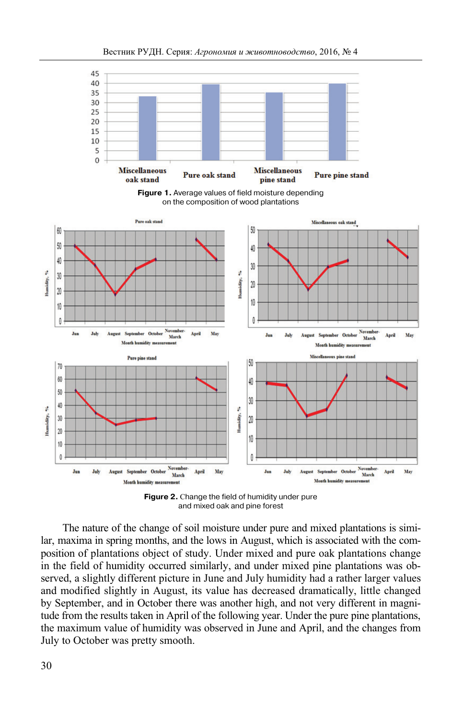



**Figure 2.** Сhange the field of humidity under pure and mixed oak and pine forest

The nature of the change of soil moisture under pure and mixed plantations is similar, maxima in spring months, and the lows in August, which is associated with the composition of plantations object of study. Under mixed and pure oak plantations change in the field of humidity occurred similarly, and under mixed pine plantations was observed, a slightly different picture in June and July humidity had a rather larger values and modified slightly in August, its value has decreased dramatically, little changed by September, and in October there was another high, and not very different in magnitude from the results taken in April of the following year. Under the pure pine plantations, the maximum value of humidity was observed in June and April, and the changes from July to October was pretty smooth.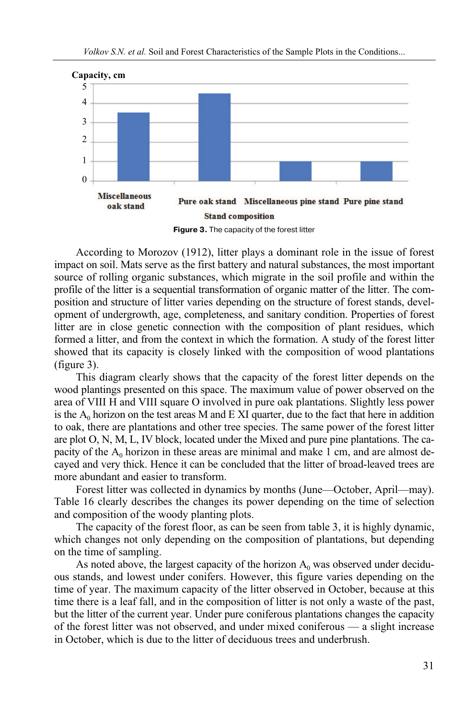

**Figure 3.** The capacity of the forest litter

According to Morozov (1912), litter plays a dominant role in the issue of forest impact on soil. Mats serve as the first battery and natural substances, the most important source of rolling organic substances, which migrate in the soil profile and within the profile of the litter is a sequential transformation of organic matter of the litter. The composition and structure of litter varies depending on the structure of forest stands, development of undergrowth, age, completeness, and sanitary condition. Properties of forest litter are in close genetic connection with the composition of plant residues, which formed a litter, and from the context in which the formation. A study of the forest litter showed that its capacity is closely linked with the composition of wood plantations (figure 3).

This diagram clearly shows that the capacity of the forest litter depends on the wood plantings presented on this space. The maximum value of power observed on the area of VIII H and VIII square O involved in pure oak plantations. Slightly less power is the  $A_0$  horizon on the test areas M and E XI quarter, due to the fact that here in addition to oak, there are plantations and other tree species. The same power of the forest litter are plot O, N, M, L, IV block, located under the Mixed and pure pine plantations. The capacity of the  $A_0$  horizon in these areas are minimal and make 1 cm, and are almost decayed and very thick. Hence it can be concluded that the litter of broad-leaved trees are more abundant and easier to transform.

Forest litter was collected in dynamics by months (June—October, April—may). Table 16 clearly describes the changes its power depending on the time of selection and composition of the woody planting plots.

The capacity of the forest floor, as can be seen from table 3, it is highly dynamic, which changes not only depending on the composition of plantations, but depending on the time of sampling.

As noted above, the largest capacity of the horizon  $A_0$  was observed under deciduous stands, and lowest under conifers. However, this figure varies depending on the time of year. The maximum capacity of the litter observed in October, because at this time there is a leaf fall, and in the composition of litter is not only a waste of the past, but the litter of the current year. Under pure coniferous plantations changes the capacity of the forest litter was not observed, and under mixed coniferous — a slight increase in October, which is due to the litter of deciduous trees and underbrush.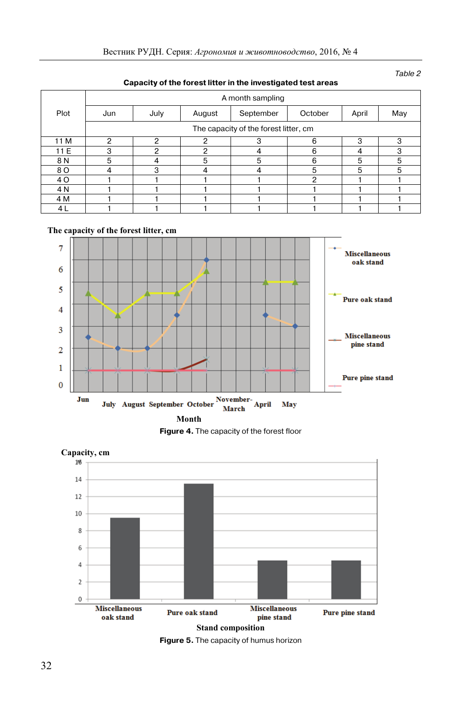Table 2

| expacity of the forecentted in the investigated toot areas |                                       |      |        |                  |         |       |     |  |  |
|------------------------------------------------------------|---------------------------------------|------|--------|------------------|---------|-------|-----|--|--|
|                                                            |                                       |      |        | A month sampling |         |       |     |  |  |
| Plot                                                       | Jun                                   | July | August | September        | October | April | May |  |  |
|                                                            | The capacity of the forest litter, cm |      |        |                  |         |       |     |  |  |
| 11 M                                                       | ⌒                                     | ົ    | າ      | З                | 6       | 3     | З   |  |  |
| 11 E                                                       | з                                     | 2    | 2      | 4                | 6       | 4     | 3   |  |  |
| 8 N                                                        | 5                                     | 4    | 5      | 5                | 6       | 5     | 5   |  |  |
| 8 O                                                        |                                       | 3    | 4      | 4                | 5       | 5     | 5   |  |  |
| 4 O                                                        |                                       |      |        |                  | 2       |       |     |  |  |
| 4 N                                                        |                                       |      |        |                  |         |       |     |  |  |
| 4 M                                                        |                                       |      |        |                  |         |       |     |  |  |
| 4 L                                                        |                                       |      |        |                  |         |       |     |  |  |

#### **Capacity of the forest litter in the investigated test areas**

#### **The capacity of the forest litter, cm**







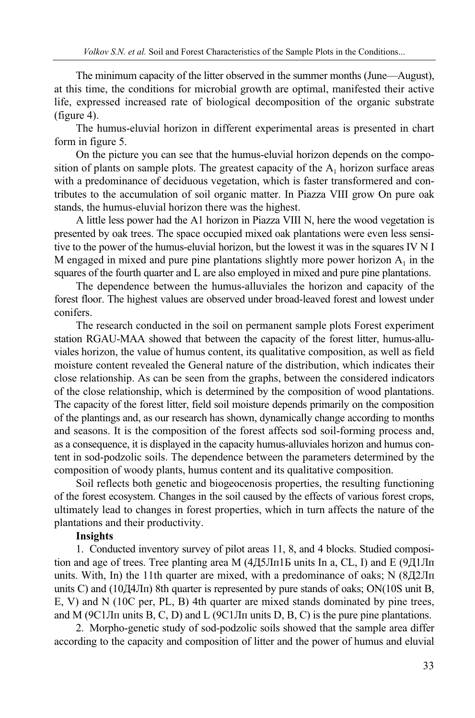The minimum capacity of the litter observed in the summer months (June—August), at this time, the conditions for microbial growth are optimal, manifested their active life, expressed increased rate of biological decomposition of the organic substrate (figure 4).

The humus-eluvial horizon in different experimental areas is presented in chart form in figure 5.

On the picture you can see that the humus-eluvial horizon depends on the composition of plants on sample plots. The greatest capacity of the  $A_1$  horizon surface areas with a predominance of deciduous vegetation, which is faster transformered and contributes to the accumulation of soil organic matter. In Piazza VIII grow On pure oak stands, the humus-eluvial horizon there was the highest.

A little less power had the A1 horizon in Piazza VIII N, here the wood vegetation is presented by oak trees. The space occupied mixed oak plantations were even less sensitive to the power of the humus-eluvial horizon, but the lowest it was in the squares IV N I M engaged in mixed and pure pine plantations slightly more power horizon  $A_1$  in the squares of the fourth quarter and L are also employed in mixed and pure pine plantations.

The dependence between the humus-alluviales the horizon and capacity of the forest floor. The highest values are observed under broad-leaved forest and lowest under conifers.

The research conducted in the soil on permanent sample plots Forest experiment station RGAU-MAA showed that between the capacity of the forest litter, humus-alluviales horizon, the value of humus content, its qualitative composition, as well as field moisture content revealed the General nature of the distribution, which indicates their close relationship. As can be seen from the graphs, between the considered indicators of the close relationship, which is determined by the composition of wood plantations. The capacity of the forest litter, field soil moisture depends primarily on the composition of the plantings and, as our research has shown, dynamically change according to months and seasons. It is the composition of the forest affects sod soil-forming process and, as a consequence, it is displayed in the capacity humus-alluviales horizon and humus content in sod-podzolic soils. The dependence between the parameters determined by the composition of woody plants, humus content and its qualitative composition.

Soil reflects both genetic and biogeocenosis properties, the resulting functioning of the forest ecosystem. Changes in the soil caused by the effects of various forest crops, ultimately lead to changes in forest properties, which in turn affects the nature of the plantations and their productivity.

## **Insights**

1. Conducted inventory survey of pilot areas 11, 8, and 4 blocks. Studied composition and age of trees. Tree planting area M (4Д5Лп1Б units In a, CL, I) and E (9Д1Лп units. With, In) the 11th quarter are mixed, with a predominance of oaks; N (8Д2Лп units C) and (10Д4Лп) 8th quarter is represented by pure stands of oaks; ON(10S unit B, E, V) and N (10C per, PL, B) 4th quarter are mixed stands dominated by pine trees, and M (9С1Лп units B, C, D) and L (9С1Лп units D, B, C) is the pure pine plantations.

2. Morpho-genetic study of sod-podzolic soils showed that the sample area differ according to the capacity and composition of litter and the power of humus and eluvial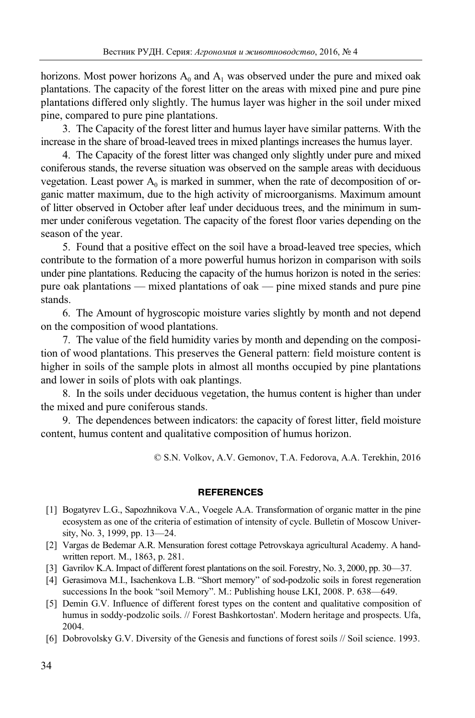horizons. Most power horizons  $A_0$  and  $A_1$  was observed under the pure and mixed oak plantations. The capacity of the forest litter on the areas with mixed pine and pure pine plantations differed only slightly. The humus layer was higher in the soil under mixed pine, compared to pure pine plantations.

3. The Capacity of the forest litter and humus layer have similar patterns. With the increase in the share of broad-leaved trees in mixed plantings increases the humus layer.

4. The Capacity of the forest litter was changed only slightly under pure and mixed coniferous stands, the reverse situation was observed on the sample areas with deciduous vegetation. Least power  $A_0$  is marked in summer, when the rate of decomposition of organic matter maximum, due to the high activity of microorganisms. Maximum amount of litter observed in October after leaf under deciduous trees, and the minimum in summer under coniferous vegetation. The capacity of the forest floor varies depending on the season of the year.

5. Found that a positive effect on the soil have a broad-leaved tree species, which contribute to the formation of a more powerful humus horizon in comparison with soils under pine plantations. Reducing the capacity of the humus horizon is noted in the series: pure oak plantations — mixed plantations of oak — pine mixed stands and pure pine stands.

6. The Amount of hygroscopic moisture varies slightly by month and not depend on the composition of wood plantations.

7. The value of the field humidity varies by month and depending on the composition of wood plantations. This preserves the General pattern: field moisture content is higher in soils of the sample plots in almost all months occupied by pine plantations and lower in soils of plots with oak plantings.

8. In the soils under deciduous vegetation, the humus content is higher than under the mixed and pure coniferous stands.

9. The dependences between indicators: the capacity of forest litter, field moisture content, humus content and qualitative composition of humus horizon.

© S.N. Volkov, A.V. Gеmonov, T.A. Fedorova, A.A. Terekhin, 2016

## **REFERENCES**

- [1] Bogatyrev L.G., Sapozhnikova V.A., Voegele A.A. Transformation of organic matter in the pine ecosystem as one of the criteria of estimation of intensity of cycle. Bulletin of Moscow University, No. 3, 1999, pp. 13—24.
- [2] Vargas de Bedemar A.R. Mensuration forest cottage Petrovskaya agricultural Academy. A handwritten report. M., 1863, p. 281.
- [3] Gavrilov K.A. Impact of different forest plantations on the soil. Forestry, No. 3, 2000, pp. 30—37.
- [4] Gerasimova M.I., Isachenkova L.B. "Short memory" of sod-podzolic soils in forest regeneration successions In the book "soil Memory". M.: Publishing house LKI, 2008. P. 638—649.
- [5] Demin G.V. Influence of different forest types on the content and qualitative composition of humus in soddy-podzolic soils. // Forest Bashkortostan'. Modern heritage and prospects. Ufa, 2004.
- [6] Dobrovolsky G.V. Diversity of the Genesis and functions of forest soils // Soil science. 1993.